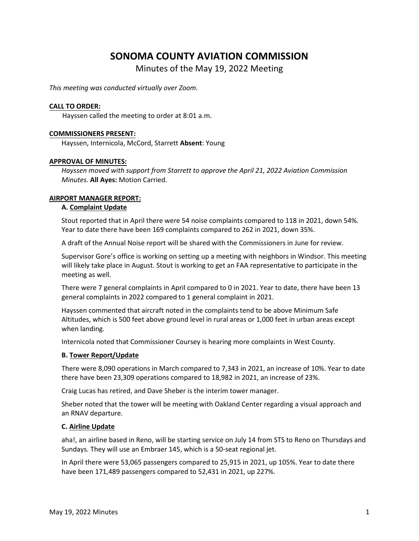# **SONOMA COUNTY AVIATION COMMISSION**

Minutes of the May 19, 2022 Meeting

*This meeting was conducted virtually over Zoom.*

#### **CALL TO ORDER:**

Hayssen called the meeting to order at 8:01 a.m.

#### **COMMISSIONERS PRESENT:**

Hayssen, Internicola, McCord, Starrett **Absent**: Young

#### **APPROVAL OF MINUTES:**

*Hayssen moved with support from Starrett to approve the April 21, 2022 Aviation Commission Minutes.* **All Ayes:** Motion Carried.

#### **AIRPORT MANAGER REPORT:**

#### **A. Complaint Update**

Stout reported that in April there were 54 noise complaints compared to 118 in 2021, down 54%. Year to date there have been 169 complaints compared to 262 in 2021, down 35%.

A draft of the Annual Noise report will be shared with the Commissioners in June for review.

Supervisor Gore's office is working on setting up a meeting with neighbors in Windsor. This meeting will likely take place in August. Stout is working to get an FAA representative to participate in the meeting as well.

There were 7 general complaints in April compared to 0 in 2021. Year to date, there have been 13 general complaints in 2022 compared to 1 general complaint in 2021.

Hayssen commented that aircraft noted in the complaints tend to be above Minimum Safe Altitudes, which is 500 feet above ground level in rural areas or 1,000 feet in urban areas except when landing.

Internicola noted that Commissioner Coursey is hearing more complaints in West County.

### **B. Tower Report/Update**

There were 8,090 operations in March compared to 7,343 in 2021, an increase of 10%. Year to date there have been 23,309 operations compared to 18,982 in 2021, an increase of 23%.

Craig Lucas has retired, and Dave Sheber is the interim tower manager.

Sheber noted that the tower will be meeting with Oakland Center regarding a visual approach and an RNAV departure.

### **C. Airline Update**

aha!, an airline based in Reno, will be starting service on July 14 from STS to Reno on Thursdays and Sundays. They will use an Embraer 145, which is a 50-seat regional jet.

In April there were 53,065 passengers compared to 25,915 in 2021, up 105%. Year to date there have been 171,489 passengers compared to 52,431 in 2021, up 227%.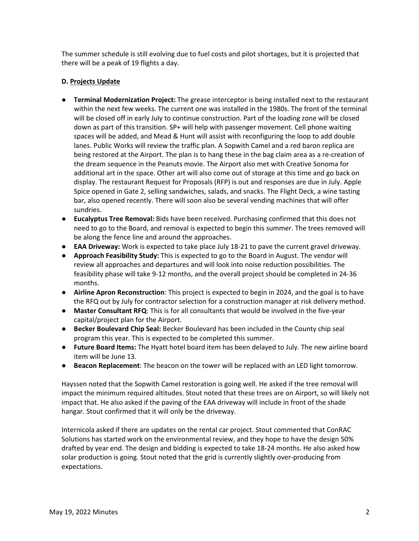The summer schedule is still evolving due to fuel costs and pilot shortages, but it is projected that there will be a peak of 19 flights a day.

# **D. Projects Update**

- **Terminal Modernization Project:** The grease interceptor is being installed next to the restaurant within the next few weeks. The current one was installed in the 1980s. The front of the terminal will be closed off in early July to continue construction. Part of the loading zone will be closed down as part of this transition. SP+ will help with passenger movement. Cell phone waiting spaces will be added, and Mead & Hunt will assist with reconfiguring the loop to add double lanes. Public Works will review the traffic plan. A Sopwith Camel and a red baron replica are being restored at the Airport. The plan is to hang these in the bag claim area as a re-creation of the dream sequence in the Peanuts movie. The Airport also met with Creative Sonoma for additional art in the space. Other art will also come out of storage at this time and go back on display. The restaurant Request for Proposals (RFP) is out and responses are due in July. Apple Spice opened in Gate 2, selling sandwiches, salads, and snacks. The Flight Deck, a wine tasting bar, also opened recently. There will soon also be several vending machines that will offer sundries.
- **Eucalyptus Tree Removal:** Bids have been received. Purchasing confirmed that this does not need to go to the Board, and removal is expected to begin this summer. The trees removed will be along the fence line and around the approaches.
- **EAA Driveway:** Work is expected to take place July 18-21 to pave the current gravel driveway.
- **Approach Feasibility Study:** This is expected to go to the Board in August. The vendor will review all approaches and departures and will look into noise reduction possibilities. The feasibility phase will take 9-12 months, and the overall project should be completed in 24-36 months.
- **Airline Apron Reconstruction**: This project is expected to begin in 2024, and the goal is to have the RFQ out by July for contractor selection for a construction manager at risk delivery method.
- **Master Consultant RFQ**: This is for all consultants that would be involved in the five-year capital/project plan for the Airport.
- **Becker Boulevard Chip Seal:** Becker Boulevard has been included in the County chip seal program this year. This is expected to be completed this summer.
- **Future Board Items:** The Hyatt hotel board item has been delayed to July. The new airline board item will be June 13.
- **Beacon Replacement**: The beacon on the tower will be replaced with an LED light tomorrow.

Hayssen noted that the Sopwith Camel restoration is going well. He asked if the tree removal will impact the minimum required altitudes. Stout noted that these trees are on Airport, so will likely not impact that. He also asked if the paving of the EAA driveway will include in front of the shade hangar. Stout confirmed that it will only be the driveway.

Internicola asked if there are updates on the rental car project. Stout commented that ConRAC Solutions has started work on the environmental review, and they hope to have the design 50% drafted by year end. The design and bidding is expected to take 18-24 months. He also asked how solar production is going. Stout noted that the grid is currently slightly over-producing from expectations.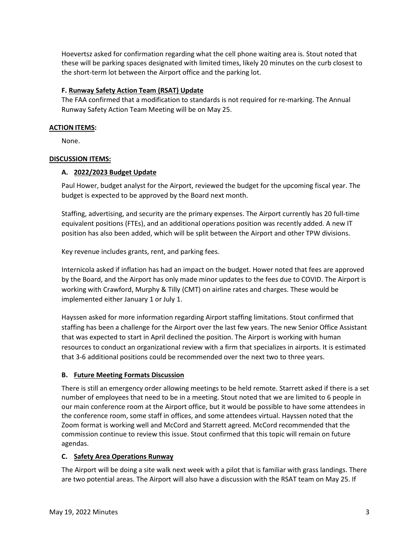Hoevertsz asked for confirmation regarding what the cell phone waiting area is. Stout noted that these will be parking spaces designated with limited times, likely 20 minutes on the curb closest to the short-term lot between the Airport office and the parking lot.

# **F. Runway Safety Action Team (RSAT) Update**

The FAA confirmed that a modification to standards is not required for re-marking. The Annual Runway Safety Action Team Meeting will be on May 25.

## **ACTION ITEMS:**

None.

# **DISCUSSION ITEMS:**

# **A. 2022/2023 Budget Update**

Paul Hower, budget analyst for the Airport, reviewed the budget for the upcoming fiscal year. The budget is expected to be approved by the Board next month.

Staffing, advertising, and security are the primary expenses. The Airport currently has 20 full-time equivalent positions (FTEs), and an additional operations position was recently added. A new IT position has also been added, which will be split between the Airport and other TPW divisions.

Key revenue includes grants, rent, and parking fees.

Internicola asked if inflation has had an impact on the budget. Hower noted that fees are approved by the Board, and the Airport has only made minor updates to the fees due to COVID. The Airport is working with Crawford, Murphy & Tilly (CMT) on airline rates and charges. These would be implemented either January 1 or July 1.

Hayssen asked for more information regarding Airport staffing limitations. Stout confirmed that staffing has been a challenge for the Airport over the last few years. The new Senior Office Assistant that was expected to start in April declined the position. The Airport is working with human resources to conduct an organizational review with a firm that specializes in airports. It is estimated that 3-6 additional positions could be recommended over the next two to three years.

# **B. Future Meeting Formats Discussion**

There is still an emergency order allowing meetings to be held remote. Starrett asked if there is a set number of employees that need to be in a meeting. Stout noted that we are limited to 6 people in our main conference room at the Airport office, but it would be possible to have some attendees in the conference room, some staff in offices, and some attendees virtual. Hayssen noted that the Zoom format is working well and McCord and Starrett agreed. McCord recommended that the commission continue to review this issue. Stout confirmed that this topic will remain on future agendas.

# **C. Safety Area Operations Runway**

The Airport will be doing a site walk next week with a pilot that is familiar with grass landings. There are two potential areas. The Airport will also have a discussion with the RSAT team on May 25. If